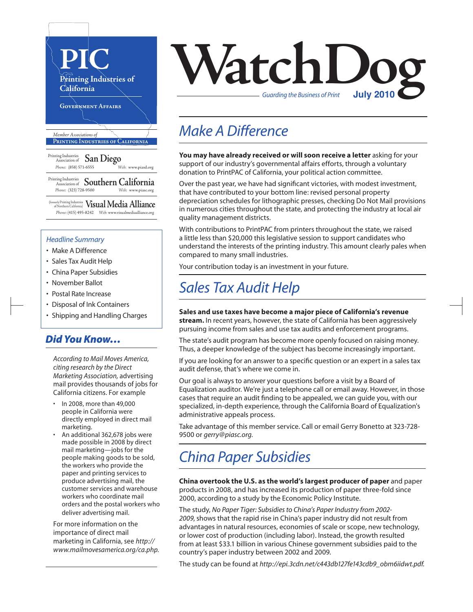

(formerly Printing Industries of Northern California) **VisualMedia Alliance**  *Phone:* (415) 495-8242 *Web:* www.visualmediaalliance.org

#### *Headline Summary*

- Make A Difference
- Sales Tax Audit Help
- China Paper Subsidies
- November Ballot
- Postal Rate Increase
- Disposal of Ink Containers
- Shipping and Handling Charges

### *Did You Know…*

*According to Mail Moves America, citing research by the Direct Marketing Association,* advertising mail provides thousands of jobs for California citizens. For example

- In 2008, more than 49,000 people in California were directly employed in direct mail marketing.
- An additional 362,678 jobs were made possible in 2008 by direct mail marketing—jobs for the people making goods to be sold, the workers who provide the paper and printing services to produce advertising mail, the customer services and warehouse workers who coordinate mail orders and the postal workers who deliver advertising mail.

For more information on the importance of direct mail marketing in California, see *http:// www.mailmovesamerica.org/ca.php.*



### *Make A Difference*

**You may have already received or will soon receive a letter** asking for your support of our industry's governmental affairs efforts, through a voluntary donation to PrintPAC of California, your political action committee.

Over the past year, we have had significant victories, with modest investment, that have contributed to your bottom line: revised personal property depreciation schedules for lithographic presses, checking Do Not Mail provisions in numerous cities throughout the state, and protecting the industry at local air quality management districts.

With contributions to PrintPAC from printers throughout the state, we raised a little less than \$20,000 this legislative session to support candidates who understand the interests of the printing industry. This amount clearly pales when compared to many small industries.

Your contribution today is an investment in your future.

### *Sales Tax Audit Help*

**Sales and use taxes have become a major piece of California's revenue stream.** In recent years, however, the state of California has been aggressively pursuing income from sales and use tax audits and enforcement programs.

The state's audit program has become more openly focused on raising money. Thus, a deeper knowledge of the subject has become increasingly important.

If you are looking for an answer to a specific question or an expert in a sales tax audit defense, that's where we come in.

Our goal is always to answer your questions before a visit by a Board of Equalization auditor. We're just a telephone call or email away. However, in those cases that require an audit finding to be appealed, we can guide you, with our specialized, in-depth experience, through the California Board of Equalization's administrative appeals process.

Take advantage of this member service. Call or email Gerry Bonetto at 323-728- 9500 or *gerry@piasc.org.*

### *China Paper Subsidies*

**China overtook the U.S. as the world's largest producer of paper** and paper products in 2008, and has increased its production of paper three-fold since 2000, according to a study by the Economic Policy Institute.

The study, *No Paper Tiger: Subsidies to China's Paper Industry from 2002- 2009*, shows that the rapid rise in China's paper industry did not result from advantages in natural resources, economies of scale or scope, new technology, or lower cost of production (including labor). Instead, the growth resulted from at least \$33.1 billion in various Chinese government subsidies paid to the country's paper industry between 2002 and 2009.

The study can be found at *http://epi.3cdn.net/c443db127fe143cdb9\_obm6iidwt.pdf.*